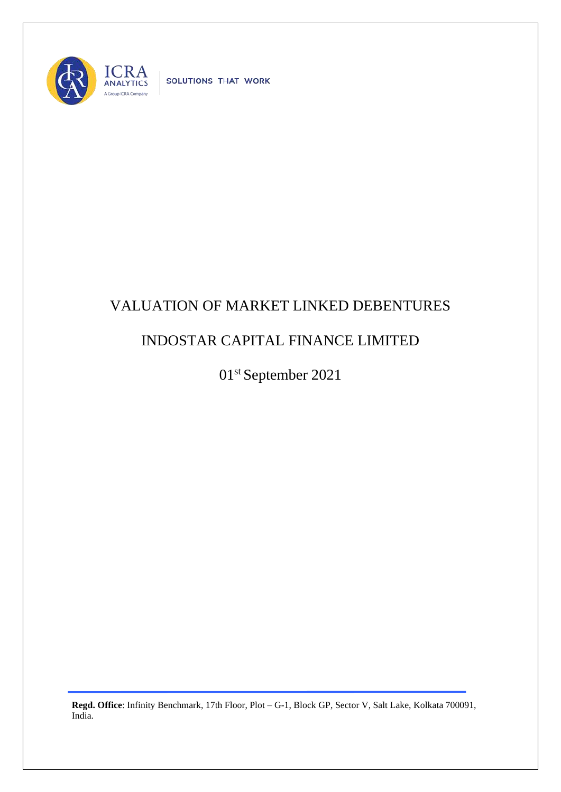

SOLUTIONS THAT WORK

## VALUATION OF MARKET LINKED DEBENTURES

## INDOSTAR CAPITAL FINANCE LIMITED

01st September 2021

**Regd. Office**: Infinity Benchmark, 17th Floor, Plot – G-1, Block GP, Sector V, Salt Lake, Kolkata 700091, India.